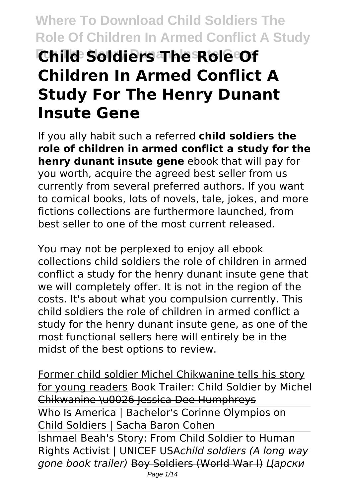# **Where To Download Child Soldiers The Role Of Children In Armed Conflict A Study For The Henry Dunant Insute Gene Child Soldiers The Role Of Children In Armed Conflict A Study For The Henry Dunant Insute Gene**

If you ally habit such a referred **child soldiers the role of children in armed conflict a study for the henry dunant insute gene** ebook that will pay for you worth, acquire the agreed best seller from us currently from several preferred authors. If you want to comical books, lots of novels, tale, jokes, and more fictions collections are furthermore launched, from best seller to one of the most current released.

You may not be perplexed to enjoy all ebook collections child soldiers the role of children in armed conflict a study for the henry dunant insute gene that we will completely offer. It is not in the region of the costs. It's about what you compulsion currently. This child soldiers the role of children in armed conflict a study for the henry dunant insute gene, as one of the most functional sellers here will entirely be in the midst of the best options to review.

Former child soldier Michel Chikwanine tells his story for young readers Book Trailer: Child Soldier by Michel Chikwanine \u0026 Jessica Dee Humphreys Who Is America | Bachelor's Corinne Olympios on Child Soldiers | Sacha Baron Cohen Ishmael Beah's Story: From Child Soldier to Human Rights Activist | UNICEF USA*child soldiers (A long way gone book trailer)* Boy Soldiers (World War I) *Царски*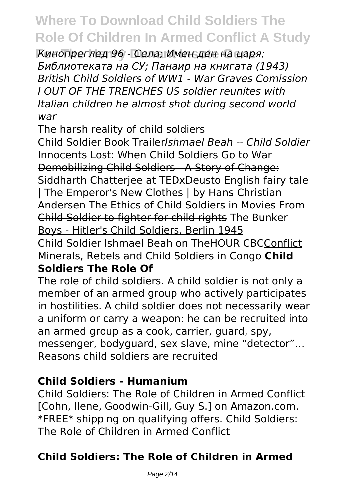**For The Henry Dunant Insute Gene** *Кинопреглед 96 - Села; Имен ден на царя; Библиотеката на СУ; Панаир на книгата (1943) British Child Soldiers of WW1 - War Graves Comission I OUT OF THE TRENCHES US soldier reunites with Italian children he almost shot during second world war*

The harsh reality of child soldiers

Child Soldier Book Trailer*Ishmael Beah -- Child Soldier* Innocents Lost: When Child Soldiers Go to War Demobilizing Child Soldiers - A Story of Change: Siddharth Chatterjee at TEDxDeusto English fairy tale | The Emperor's New Clothes | by Hans Christian Andersen The Ethics of Child Soldiers in Movies From Child Soldier to fighter for child rights The Bunker Boys - Hitler's Child Soldiers, Berlin 1945

Child Soldier Ishmael Beah on TheHOUR CBCConflict Minerals, Rebels and Child Soldiers in Congo **Child**

#### **Soldiers The Role Of**

The role of child soldiers. A child soldier is not only a member of an armed group who actively participates in hostilities. A child soldier does not necessarily wear a uniform or carry a weapon: he can be recruited into an armed group as a cook, carrier, guard, spy, messenger, bodyguard, sex slave, mine "detector"… Reasons child soldiers are recruited

#### **Child Soldiers - Humanium**

Child Soldiers: The Role of Children in Armed Conflict [Cohn, Ilene, Goodwin-Gill, Guy S.] on Amazon.com. \*FREE\* shipping on qualifying offers. Child Soldiers: The Role of Children in Armed Conflict

### **Child Soldiers: The Role of Children in Armed**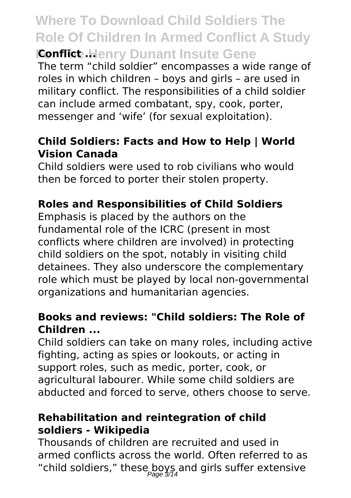### **Where To Download Child Soldiers The Role Of Children In Armed Conflict A Study Fonflict ... Henry Dunant Insute Gene**

The term "child soldier" encompasses a wide range of roles in which children – boys and girls – are used in military conflict. The responsibilities of a child soldier can include armed combatant, spy, cook, porter, messenger and 'wife' (for sexual exploitation).

#### **Child Soldiers: Facts and How to Help | World Vision Canada**

Child soldiers were used to rob civilians who would then be forced to porter their stolen property.

### **Roles and Responsibilities of Child Soldiers**

Emphasis is placed by the authors on the fundamental role of the ICRC (present in most conflicts where children are involved) in protecting child soldiers on the spot, notably in visiting child detainees. They also underscore the complementary role which must be played by local non-governmental organizations and humanitarian agencies.

#### **Books and reviews: "Child soldiers: The Role of Children ...**

Child soldiers can take on many roles, including active fighting, acting as spies or lookouts, or acting in support roles, such as medic, porter, cook, or agricultural labourer. While some child soldiers are abducted and forced to serve, others choose to serve.

#### **Rehabilitation and reintegration of child soldiers - Wikipedia**

Thousands of children are recruited and used in armed conflicts across the world. Often referred to as "child soldiers," these boys and girls suffer extensive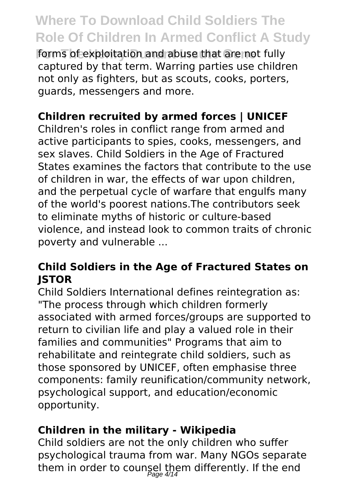**Forms of exploitation and abuse that are not fully** captured by that term. Warring parties use children not only as fighters, but as scouts, cooks, porters, guards, messengers and more.

### **Children recruited by armed forces | UNICEF**

Children's roles in conflict range from armed and active participants to spies, cooks, messengers, and sex slaves. Child Soldiers in the Age of Fractured States examines the factors that contribute to the use of children in war, the effects of war upon children, and the perpetual cycle of warfare that engulfs many of the world's poorest nations.The contributors seek to eliminate myths of historic or culture-based violence, and instead look to common traits of chronic poverty and vulnerable ...

#### **Child Soldiers in the Age of Fractured States on JSTOR**

Child Soldiers International defines reintegration as: "The process through which children formerly associated with armed forces/groups are supported to return to civilian life and play a valued role in their families and communities" Programs that aim to rehabilitate and reintegrate child soldiers, such as those sponsored by UNICEF, often emphasise three components: family reunification/community network, psychological support, and education/economic opportunity.

#### **Children in the military - Wikipedia**

Child soldiers are not the only children who suffer psychological trauma from war. Many NGOs separate them in order to counsel them differently. If the end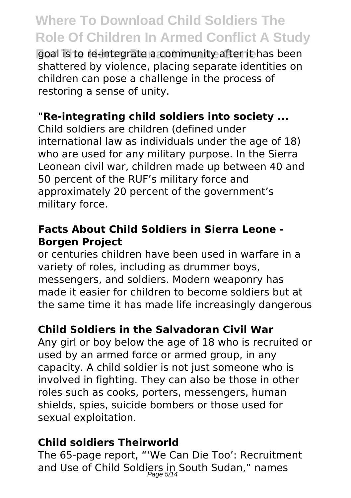**For The Henry Dunant Insute Gene** goal is to re-integrate a community after it has been shattered by violence, placing separate identities on children can pose a challenge in the process of restoring a sense of unity.

### **"Re-integrating child soldiers into society ...**

Child soldiers are children (defined under international law as individuals under the age of 18) who are used for any military purpose. In the Sierra Leonean civil war, children made up between 40 and 50 percent of the RUF's military force and approximately 20 percent of the government's military force.

#### **Facts About Child Soldiers in Sierra Leone - Borgen Project**

or centuries children have been used in warfare in a variety of roles, including as drummer boys, messengers, and soldiers. Modern weaponry has made it easier for children to become soldiers but at the same time it has made life increasingly dangerous

#### **Child Soldiers in the Salvadoran Civil War**

Any girl or boy below the age of 18 who is recruited or used by an armed force or armed group, in any capacity. A child soldier is not just someone who is involved in fighting. They can also be those in other roles such as cooks, porters, messengers, human shields, spies, suicide bombers or those used for sexual exploitation.

#### **Child soldiers Theirworld**

The 65-page report, "'We Can Die Too': Recruitment and Use of Child Soldiers in South Sudan," names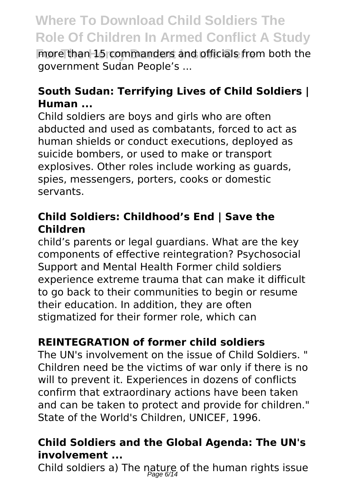**For The Henry Dunant Insurance in Superior Consumers** and officials from both the government Sudan People's ...

### **South Sudan: Terrifying Lives of Child Soldiers | Human ...**

Child soldiers are boys and girls who are often abducted and used as combatants, forced to act as human shields or conduct executions, deployed as suicide bombers, or used to make or transport explosives. Other roles include working as guards, spies, messengers, porters, cooks or domestic servants.

#### **Child Soldiers: Childhood's End | Save the Children**

child's parents or legal guardians. What are the key components of effective reintegration? Psychosocial Support and Mental Health Former child soldiers experience extreme trauma that can make it difficult to go back to their communities to begin or resume their education. In addition, they are often stigmatized for their former role, which can

### **REINTEGRATION of former child soldiers**

The UN's involvement on the issue of Child Soldiers. " Children need be the victims of war only if there is no will to prevent it. Experiences in dozens of conflicts confirm that extraordinary actions have been taken and can be taken to protect and provide for children." State of the World's Children, UNICEF, 1996.

#### **Child Soldiers and the Global Agenda: The UN's involvement ...**

Child soldiers a) The nature of the human rights issue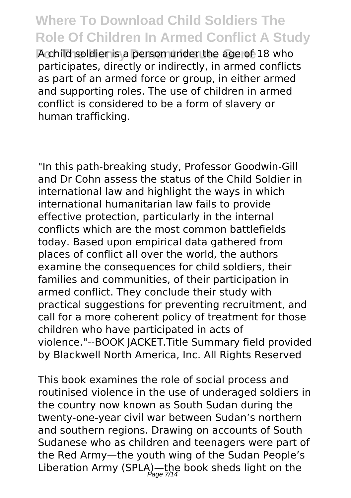A child soldier is a person under the age of 18 who participates, directly or indirectly, in armed conflicts as part of an armed force or group, in either armed and supporting roles. The use of children in armed conflict is considered to be a form of slavery or human trafficking.

"In this path-breaking study, Professor Goodwin-Gill and Dr Cohn assess the status of the Child Soldier in international law and highlight the ways in which international humanitarian law fails to provide effective protection, particularly in the internal conflicts which are the most common battlefields today. Based upon empirical data gathered from places of conflict all over the world, the authors examine the consequences for child soldiers, their families and communities, of their participation in armed conflict. They conclude their study with practical suggestions for preventing recruitment, and call for a more coherent policy of treatment for those children who have participated in acts of violence."--BOOK JACKET.Title Summary field provided by Blackwell North America, Inc. All Rights Reserved

This book examines the role of social process and routinised violence in the use of underaged soldiers in the country now known as South Sudan during the twenty-one-year civil war between Sudan's northern and southern regions. Drawing on accounts of South Sudanese who as children and teenagers were part of the Red Army—the youth wing of the Sudan People's Liberation Army (SPLA)—the book sheds light on the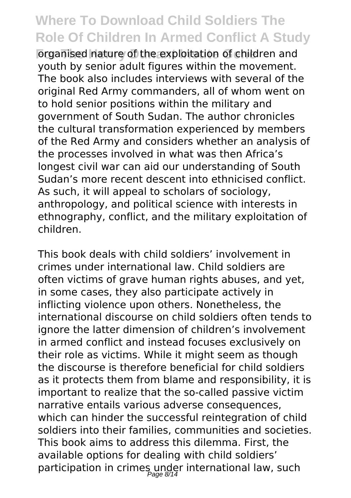**Forganised nature of the exploitation of children and** youth by senior adult figures within the movement. The book also includes interviews with several of the original Red Army commanders, all of whom went on to hold senior positions within the military and government of South Sudan. The author chronicles the cultural transformation experienced by members of the Red Army and considers whether an analysis of the processes involved in what was then Africa's longest civil war can aid our understanding of South Sudan's more recent descent into ethnicised conflict. As such, it will appeal to scholars of sociology, anthropology, and political science with interests in ethnography, conflict, and the military exploitation of children.

This book deals with child soldiers' involvement in crimes under international law. Child soldiers are often victims of grave human rights abuses, and yet, in some cases, they also participate actively in inflicting violence upon others. Nonetheless, the international discourse on child soldiers often tends to ignore the latter dimension of children's involvement in armed conflict and instead focuses exclusively on their role as victims. While it might seem as though the discourse is therefore beneficial for child soldiers as it protects them from blame and responsibility, it is important to realize that the so-called passive victim narrative entails various adverse consequences, which can hinder the successful reintegration of child soldiers into their families, communities and societies. This book aims to address this dilemma. First, the available options for dealing with child soldiers' participation in crimes under international law, such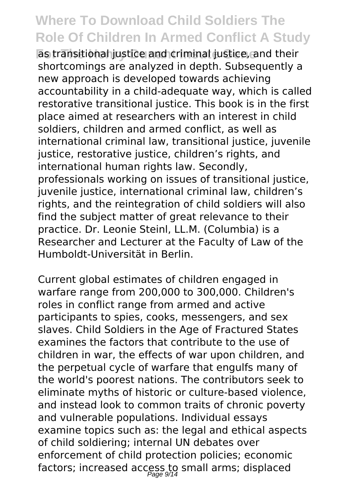**For The Henry Dunant Insute Gene** as transitional justice and criminal justice, and their shortcomings are analyzed in depth. Subsequently a new approach is developed towards achieving accountability in a child-adequate way, which is called restorative transitional justice. This book is in the first place aimed at researchers with an interest in child soldiers, children and armed conflict, as well as international criminal law, transitional justice, juvenile justice, restorative justice, children's rights, and international human rights law. Secondly, professionals working on issues of transitional justice, juvenile justice, international criminal law, children's rights, and the reintegration of child soldiers will also find the subject matter of great relevance to their practice. Dr. Leonie Steinl, LL.M. (Columbia) is a Researcher and Lecturer at the Faculty of Law of the Humboldt-Universität in Berlin.

Current global estimates of children engaged in warfare range from 200,000 to 300,000. Children's roles in conflict range from armed and active participants to spies, cooks, messengers, and sex slaves. Child Soldiers in the Age of Fractured States examines the factors that contribute to the use of children in war, the effects of war upon children, and the perpetual cycle of warfare that engulfs many of the world's poorest nations. The contributors seek to eliminate myths of historic or culture-based violence, and instead look to common traits of chronic poverty and vulnerable populations. Individual essays examine topics such as: the legal and ethical aspects of child soldiering; internal UN debates over enforcement of child protection policies; economic factors; increased access to small arms; displaced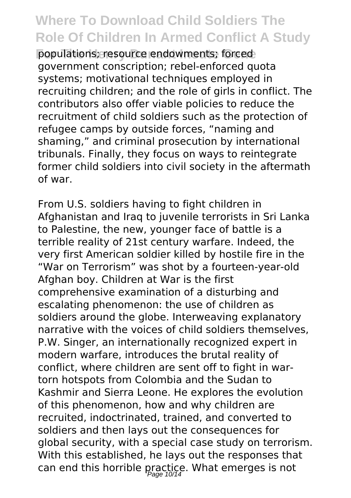**For The Henry Dunness: Forced populations; resource endowments; forced populations; resource** government conscription; rebel-enforced quota systems; motivational techniques employed in recruiting children; and the role of girls in conflict. The contributors also offer viable policies to reduce the recruitment of child soldiers such as the protection of refugee camps by outside forces, "naming and shaming," and criminal prosecution by international tribunals. Finally, they focus on ways to reintegrate former child soldiers into civil society in the aftermath of war.

From U.S. soldiers having to fight children in Afghanistan and Iraq to juvenile terrorists in Sri Lanka to Palestine, the new, younger face of battle is a terrible reality of 21st century warfare. Indeed, the very first American soldier killed by hostile fire in the "War on Terrorism" was shot by a fourteen-year-old Afghan boy. Children at War is the first comprehensive examination of a disturbing and escalating phenomenon: the use of children as soldiers around the globe. Interweaving explanatory narrative with the voices of child soldiers themselves, P.W. Singer, an internationally recognized expert in modern warfare, introduces the brutal reality of conflict, where children are sent off to fight in wartorn hotspots from Colombia and the Sudan to Kashmir and Sierra Leone. He explores the evolution of this phenomenon, how and why children are recruited, indoctrinated, trained, and converted to soldiers and then lays out the consequences for global security, with a special case study on terrorism. With this established, he lays out the responses that can end this horrible practice. What emerges is not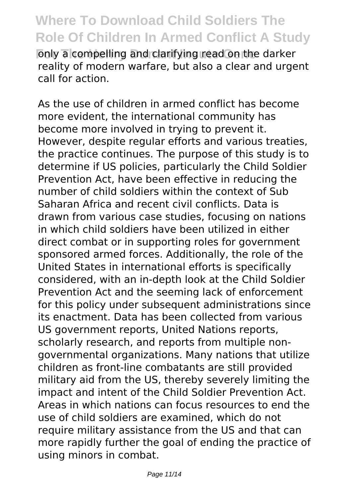only a compelling and clarifying read on the darker reality of modern warfare, but also a clear and urgent call for action.

As the use of children in armed conflict has become more evident, the international community has become more involved in trying to prevent it. However, despite regular efforts and various treaties, the practice continues. The purpose of this study is to determine if US policies, particularly the Child Soldier Prevention Act, have been effective in reducing the number of child soldiers within the context of Sub Saharan Africa and recent civil conflicts. Data is drawn from various case studies, focusing on nations in which child soldiers have been utilized in either direct combat or in supporting roles for government sponsored armed forces. Additionally, the role of the United States in international efforts is specifically considered, with an in-depth look at the Child Soldier Prevention Act and the seeming lack of enforcement for this policy under subsequent administrations since its enactment. Data has been collected from various US government reports, United Nations reports, scholarly research, and reports from multiple nongovernmental organizations. Many nations that utilize children as front-line combatants are still provided military aid from the US, thereby severely limiting the impact and intent of the Child Soldier Prevention Act. Areas in which nations can focus resources to end the use of child soldiers are examined, which do not require military assistance from the US and that can more rapidly further the goal of ending the practice of using minors in combat.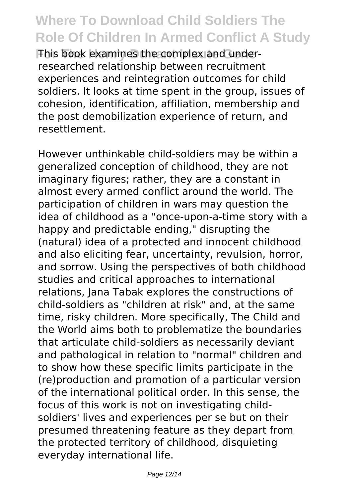**This book examines the complex and under**researched relationship between recruitment experiences and reintegration outcomes for child soldiers. It looks at time spent in the group, issues of cohesion, identification, affiliation, membership and the post demobilization experience of return, and resettlement.

However unthinkable child-soldiers may be within a generalized conception of childhood, they are not imaginary figures; rather, they are a constant in almost every armed conflict around the world. The participation of children in wars may question the idea of childhood as a "once-upon-a-time story with a happy and predictable ending," disrupting the (natural) idea of a protected and innocent childhood and also eliciting fear, uncertainty, revulsion, horror, and sorrow. Using the perspectives of both childhood studies and critical approaches to international relations, Jana Tabak explores the constructions of child-soldiers as "children at risk" and, at the same time, risky children. More specifically, The Child and the World aims both to problematize the boundaries that articulate child-soldiers as necessarily deviant and pathological in relation to "normal" children and to show how these specific limits participate in the (re)production and promotion of a particular version of the international political order. In this sense, the focus of this work is not on investigating childsoldiers' lives and experiences per se but on their presumed threatening feature as they depart from the protected territory of childhood, disquieting everyday international life.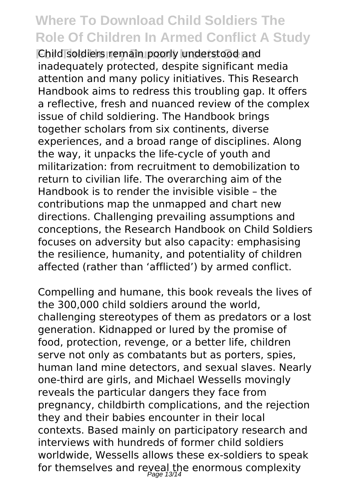**For The Henry Dunant Insute Gene** Child soldiers remain poorly understood and inadequately protected, despite significant media attention and many policy initiatives. This Research Handbook aims to redress this troubling gap. It offers a reflective, fresh and nuanced review of the complex issue of child soldiering. The Handbook brings together scholars from six continents, diverse experiences, and a broad range of disciplines. Along the way, it unpacks the life-cycle of youth and militarization: from recruitment to demobilization to return to civilian life. The overarching aim of the Handbook is to render the invisible visible – the contributions map the unmapped and chart new directions. Challenging prevailing assumptions and conceptions, the Research Handbook on Child Soldiers focuses on adversity but also capacity: emphasising the resilience, humanity, and potentiality of children affected (rather than 'afflicted') by armed conflict.

Compelling and humane, this book reveals the lives of the 300,000 child soldiers around the world, challenging stereotypes of them as predators or a lost generation. Kidnapped or lured by the promise of food, protection, revenge, or a better life, children serve not only as combatants but as porters, spies, human land mine detectors, and sexual slaves. Nearly one-third are girls, and Michael Wessells movingly reveals the particular dangers they face from pregnancy, childbirth complications, and the rejection they and their babies encounter in their local contexts. Based mainly on participatory research and interviews with hundreds of former child soldiers worldwide, Wessells allows these ex-soldiers to speak for themselves and reyeal the enormous complexity